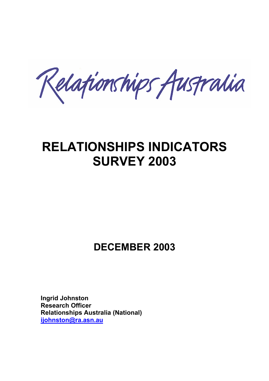Relationships Australia

# **RELATIONSHIPS INDICATORS SURVEY 2003**

## **DECEMBER 2003**

**Ingrid Johnston Research Officer Relationships Australia (National) ijohnston@ra.asn.au**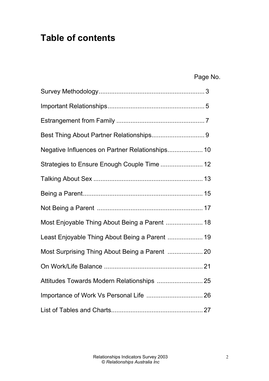## **Table of contents**

| Page No. |
|----------|
|          |

| Negative Influences on Partner Relationships 10 |  |
|-------------------------------------------------|--|
| Strategies to Ensure Enough Couple Time  12     |  |
|                                                 |  |
|                                                 |  |
|                                                 |  |
| Most Enjoyable Thing About Being a Parent  18   |  |
| Least Enjoyable Thing About Being a Parent  19  |  |
| Most Surprising Thing About Being a Parent  20  |  |
|                                                 |  |
|                                                 |  |
| Importance of Work Vs Personal Life  26         |  |
|                                                 |  |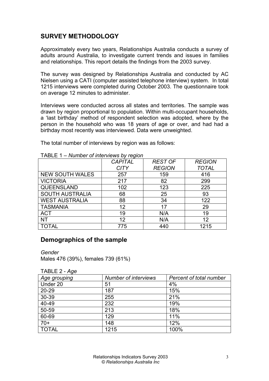## **SURVEY METHODOLOGY**

Approximately every two years, Relationships Australia conducts a survey of adults around Australia, to investigate current trends and issues in families and relationships. This report details the findings from the 2003 survey.

The survey was designed by Relationships Australia and conducted by AC Nielsen using a CATI (computer assisted telephone interview) system. In total 1215 interviews were completed during October 2003. The questionnaire took on average 12 minutes to administer.

Interviews were conducted across all states and territories. The sample was drawn by region proportional to population. Within multi-occupant households, a 'last birthday' method of respondent selection was adopted, where by the person in the household who was 18 years of age or over, and had had a birthday most recently was interviewed. Data were unweighted.

The total number of interviews by region was as follows:

|                        | <b>CAPITAL</b> | <b>REST OF</b> | <b>REGION</b> |
|------------------------|----------------|----------------|---------------|
|                        | <b>CITY</b>    | <b>REGION</b>  | <b>TOTAL</b>  |
| <b>NEW SOUTH WALES</b> | 257            | 159            | 416           |
| <b>VICTORIA</b>        | 217            | 82             | 299           |
| QUEENSLAND             | 102            | 123            | 225           |
| <b>SOUTH AUSTRALIA</b> | 68             | 25             | 93            |
| <b>WEST AUSTRALIA</b>  | 88             | 34             | 122           |
| <b>TASMANIA</b>        | 12             | 17             | 29            |
| <b>ACT</b>             | 19             | N/A            | 19            |
| <b>NT</b>              | 12             | N/A            | 12            |
| <b>TOTAL</b>           | 775            | 440            | 1215          |

TABLE 1 – *Number of interviews by region*

#### **Demographics of the sample**

*Gender*

Males 476 (39%), females 739 (61%)

TABLE 2 - *Age* 

| Age grouping | <b>Number of interviews</b> | Percent of total number |
|--------------|-----------------------------|-------------------------|
| Under 20     | 51                          | 4%                      |
| $20 - 29$    | 187                         | 15%                     |
| 30-39        | 255                         | 21%                     |
| 40-49        | 232                         | 19%                     |
| 50-59        | 213                         | 18%                     |
| 60-69        | 129                         | 11%                     |
| $70+$        | 148                         | 12%                     |
| <b>TOTAL</b> | 1215                        | 100%                    |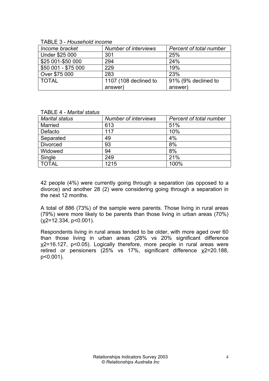TABLE 3 - *Household income* 

| Income bracket      | <b>Number of interviews</b> | Percent of total number |
|---------------------|-----------------------------|-------------------------|
| Under \$25 000      | 301                         | 25%                     |
| \$25 001-\$50 000   | 294                         | 24%                     |
| \$50 001 - \$75 000 | 229                         | 19%                     |
| Over \$75 000       | 283                         | 23%                     |
| <b>TOTAL</b>        | 1107 (108 declined to       | 91% (9% declined to     |
|                     | answer)                     | answer)                 |

| <b>Number of interviews</b><br>Percent of total number |
|--------------------------------------------------------|
| 51%                                                    |
| 10%                                                    |
| 4%                                                     |
| 8%                                                     |
| 8%                                                     |
| 21%                                                    |
| 100%                                                   |
|                                                        |

42 people (4%) were currently going through a separation (as opposed to a divorce) and another 28 (2) were considering going through a separation in the next 12 months.

A total of 886 (73%) of the sample were parents. Those living in rural areas (79%) were more likely to be parents than those living in urban areas (70%)  $(x2=12.334, p<0.001)$ .

Respondents living in rural areas tended to be older, with more aged over 60 than those living in urban areas (28% vs 20% significant difference χ2=16.127, p<0.05). Logically therefore, more people in rural areas were retired or pensioners (25% vs 17%, significant difference χ2=20.188, p<0.001).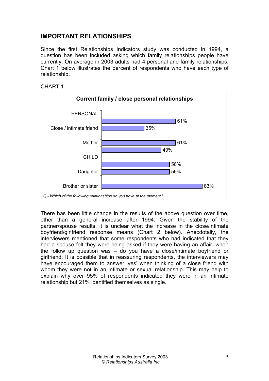### **IMPORTANT RELATIONSHIPS**

Since the first Relationships Indicators study was conducted in 1994, a question has been included asking which family relationships people have currently. On average in 2003 adults had 4 personal and family relationships. Chart 1 below illustrates the percent of respondents who have each type of relationship.





There has been little change in the results of the above question over time, other than a general increase after 1994. Given the stability of the partner/spouse results, it is unclear what the increase in the close/intimate boyfriend/girlfriend response means (Chart 2 below). Anecdotally, the interviewers mentioned that some respondents who had indicated that they had a spouse felt they were being asked if they were having an affair, when the follow up question was – do you have a close/intimate boyfriend or girlfriend. It is possible that in reassuring respondents, the interviewers may have encouraged them to answer 'yes' when thinking of a close friend with whom they were not in an intimate or sexual relationship. This may help to explain why over 95% of respondents indicated they were in an intimate relationship but 21% identified themselves as single.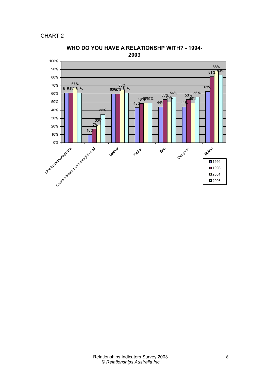CHART 2



**WHO DO YOU HAVE A RELATIONSHP WITH? - 1994- 2003**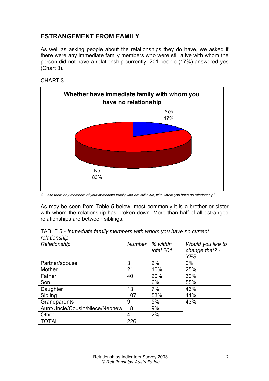#### **ESTRANGEMENT FROM FAMILY**

As well as asking people about the relationships they do have, we asked if there were any immediate family members who were still alive with whom the person did not have a relationship currently. 201 people (17%) answered yes (Chart 3).

CHART 3



*Q – Are there any members of your immediate family who are still alive, with whom you have no relationship?* 

As may be seen from Table 5 below, most commonly it is a brother or sister with whom the relationship has broken down. More than half of all estranged relationships are between siblings.

| relationship   |        |                       |                                                   |
|----------------|--------|-----------------------|---------------------------------------------------|
| Relationship   | Number | % within<br>total 201 | Would you like to<br>change that? -<br><b>YES</b> |
| Partner/spouse | 3      | 2%                    | $0\%$                                             |
| Mother         | 21     | 10%                   | 25%                                               |
| Father         | 40     | 20%                   | 30%                                               |
| Son            | 11     | 6%                    | 55%                                               |
| Daughter       | 13     | 7%                    | 46%                                               |

| TABLE 5 - Immediate family members with whom you have no current |  |  |  |  |
|------------------------------------------------------------------|--|--|--|--|
| relationship                                                     |  |  |  |  |

Sibling 107 | 53% | 41%

Grandparents 9 5% Aunt/Uncle/Cousin/Niece/Nephew 18 9% Other  $\begin{array}{|c|c|c|c|c|}\n\hline\n & 4 & 2\% \end{array}$ 

TOTAL 226

43%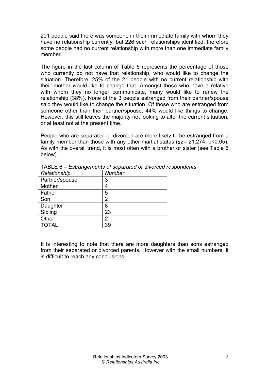201 people said there was someone in their immediate family with whom they have no relationship currently, but 226 such relationships identified, therefore some people had no current relationship with more than one immediate family member.

The figure in the last column of Table 5 represents the percentage of those who currently do not have that relationship, who would like to change the situation. Therefore, 25% of the 21 people with no current relationship with their mother would like to change that. Amongst those who have a relative with whom they no longer communicate, many would like to renew the relationship (38%). None of the 3 people estranged from their partner/spouse said they would like to change the situation. Of those who are estranged from someone other than their partner/spouse, 44% would like things to change. However, this still leaves the majority not looking to alter the current situation, or at least not at the present time.

People who are separated or divorced are more likely to be estranged from a family member than those with any other martial status (x2= 21.274, p<0.05). As with the overall trend, it is most often with a brother or sister (see Table 6 below).

| Relationship   | <b>Number</b> |
|----------------|---------------|
| Partner/spouse | 3             |
| Mother         | Δ             |
| Father         | 5             |
| Son            | 2             |
| Daughter       | 8             |
| Sibling        | 23            |
| Other          | 2             |
| <b>TOTAL</b>   | 39            |

TABLE 6 – *Estrangements of separated or divorced respondents*

It is interesting to note that there are more daughters than sons estranged from their separated or divorced parents. However with the small numbers, it is difficult to reach any conclusions.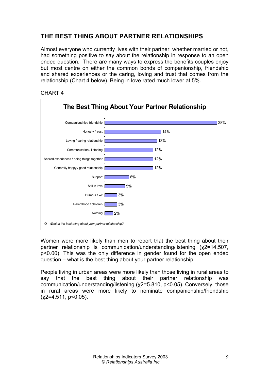## **THE BEST THING ABOUT PARTNER RELATIONSHIPS**

Almost everyone who currently lives with their partner, whether married or not, had something positive to say about the relationship in response to an open ended question. There are many ways to express the benefits couples enjoy but most centre on either the common bonds of companionship, friendship and shared experiences or the caring, loving and trust that comes from the relationship (Chart 4 below). Being in love rated much lower at 5%.





Women were more likely than men to report that the best thing about their partner relationship is communication/understanding/listening (χ2=14.507, p<0.00). This was the only difference in gender found for the open ended question – what is the best thing about your partner relationship.

People living in urban areas were more likely than those living in rural areas to say that the best thing about their partner relationship was communication/understanding/listening (χ2=5.810, p<0.05). Conversely, those in rural areas were more likely to nominate companionship/friendship  $(x2=4.511, p<0.05)$ .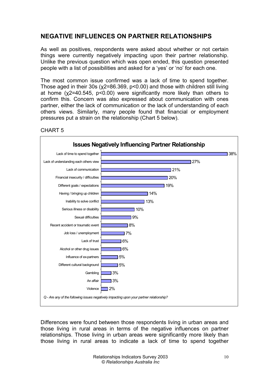#### **NEGATIVE INFLUENCES ON PARTNER RELATIONSHIPS**

As well as positives, respondents were asked about whether or not certain things were currently negatively impacting upon their partner relationship. Unlike the previous question which was open ended, this question presented people with a list of possibilities and asked for a 'yes' or 'no' for each one.

The most common issue confirmed was a lack of time to spend together. Those aged in their 30s (χ2=86.369, p<0.00) and those with children still living at home (χ2=40.545, p<0.00) were significantly more likely than others to confirm this. Concern was also expressed about communication with ones partner, either the lack of communication or the lack of understanding of each others views. Similarly, many people found that financial or employment pressures put a strain on the relationship (Chart 5 below).





Differences were found between those respondents living in urban areas and those living in rural areas in terms of the negative influences on partner relationships. Those living in urban areas were significantly more likely than those living in rural areas to indicate a lack of time to spend together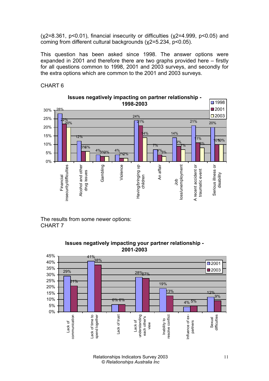$(x2=8.361, p<0.01)$ , financial insecurity or difficulties  $(x2=4.999, p<0.05)$  and coming from different cultural backgrounds (χ2=5.234, p<0.05).

This question has been asked since 1998. The answer options were expanded in 2001 and therefore there are two graphs provided here – firstly for all questions common to 1998, 2001 and 2003 surveys, and secondly for the extra options which are common to the 2001 and 2003 surveys.

CHART 6



The results from some newer options: CHART 7



#### **Issues negatively impacting your partner relationship - 2001-2003**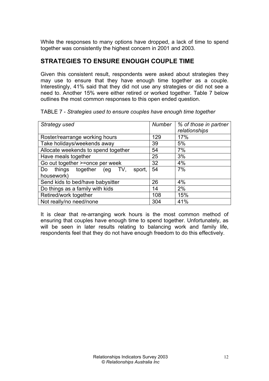While the responses to many options have dropped, a lack of time to spend together was consistently the highest concern in 2001 and 2003.

### **STRATEGIES TO ENSURE ENOUGH COUPLE TIME**

Given this consistent result, respondents were asked about strategies they may use to ensure that they have enough time together as a couple. Interestingly, 41% said that they did not use any strategies or did not see a need to. Another 15% were either retired or worked together. Table 7 below outlines the most common responses to this open ended question.

| Strategy used                              | Number | % of those in partner |
|--------------------------------------------|--------|-----------------------|
|                                            |        | relationships         |
| Roster/rearrange working hours             | 129    | 17%                   |
| Take holidays/weekends away                | 39     | 5%                    |
| Allocate weekends to spend together        | 54     | 7%                    |
| Have meals together                        | 25     | 3%                    |
| Go out together >=once per week            | 32     | 4%                    |
| together (eg TV,<br>things<br>sport.<br>Do | 54     | 7%                    |
| housework)                                 |        |                       |
| Send kids to bed/have babysitter           | 26     | 4%                    |
| Do things as a family with kids            | 14     | 2%                    |
| Retired/work together                      | 108    | 15%                   |
| Not really/no need/none                    | 304    | 41%                   |

TABLE 7 - *Strategies used to ensure couples have enough time together* 

It is clear that re-arranging work hours is the most common method of ensuring that couples have enough time to spend together. Unfortunately, as will be seen in later results relating to balancing work and family life, respondents feel that they do not have enough freedom to do this effectively.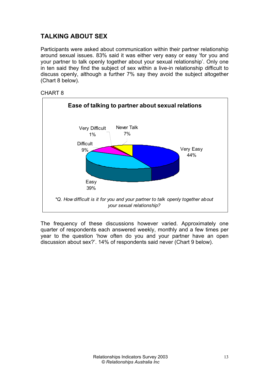## **TALKING ABOUT SEX**

Participants were asked about communication within their partner relationship around sexual issues. 83% said it was either very easy or easy 'for you and your partner to talk openly together about your sexual relationship'. Only one in ten said they find the subject of sex within a live-in relationship difficult to discuss openly, although a further 7% say they avoid the subject altogether (Chart 8 below).



CHART 8

The frequency of these discussions however varied. Approximately one quarter of respondents each answered weekly, monthly and a few times per year to the question 'how often do you and your partner have an open discussion about sex?'. 14% of respondents said never (Chart 9 below).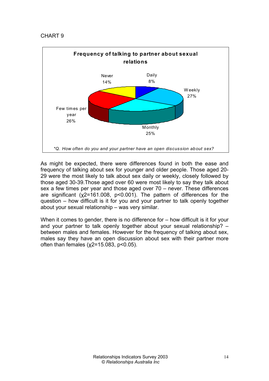#### CHART 9



As might be expected, there were differences found in both the ease and frequency of talking about sex for younger and older people. Those aged 20- 29 were the most likely to talk about sex daily or weekly, closely followed by those aged 30-39.Those aged over 60 were most likely to say they talk about sex a few times per year and those aged over 70 – never. These differences are significant (χ2=161.008, p<0.001). The pattern of differences for the question – how difficult is it for you and your partner to talk openly together about your sexual relationship – was very similar.

When it comes to gender, there is no difference for – how difficult is it for your and your partner to talk openly together about your sexual relationship? – between males and females. However for the frequency of talking about sex, males say they have an open discussion about sex with their partner more often than females ( $χ2=15.083$ ,  $p<0.05$ ).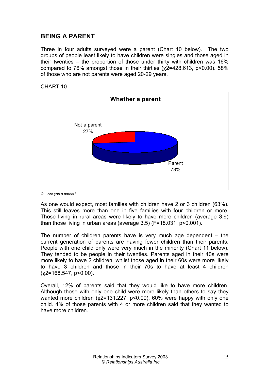### **BEING A PARENT**

Three in four adults surveyed were a parent (Chart 10 below). The two groups of people least likely to have children were singles and those aged in their twenties – the proportion of those under thirty with children was 16% compared to 76% amongst those in their thirties (χ2=428.613, p<0.00). 58% of those who are not parents were aged 20-29 years.





*Q – Are you a parent?* 

As one would expect, most families with children have 2 or 3 children (63%). This still leaves more than one in five families with four children or more. Those living in rural areas were likely to have more children (average 3.9) than those living in urban areas (average 3.5) (F=18.031, p<0.001).

The number of children parents have is very much age dependent  $-$  the current generation of parents are having fewer children than their parents. People with one child only were very much in the minority (Chart 11 below). They tended to be people in their twenties. Parents aged in their 40s were more likely to have 2 children, whilst those aged in their 60s were more likely to have 3 children and those in their 70s to have at least 4 children  $(x2=168.547, p<0.00)$ .

Overall, 12% of parents said that they would like to have more children. Although those with only one child were more likely than others to say they wanted more children (x2=131.227, p<0.00), 60% were happy with only one child. 4% of those parents with 4 or more children said that they wanted to have more children.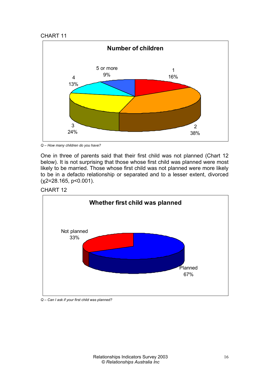#### CHART 11



*Q – How many children do you have?*

One in three of parents said that their first child was not planned (Chart 12 below). It is not surprising that those whose first child was planned were most likely to be married. Those whose first child was not planned were more likely to be in a defacto relationship or separated and to a lesser extent, divorced (χ2=28.165, p<0.001).





*Q – Can I ask if your first child was planned?*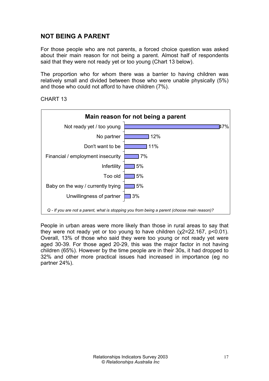## **NOT BEING A PARENT**

For those people who are not parents, a forced choice question was asked about their main reason for not being a parent. Almost half of respondents said that they were not ready yet or too young (Chart 13 below).

The proportion who for whom there was a barrier to having children was relatively small and divided between those who were unable physically (5%) and those who could not afford to have children (7%).

CHART 13



People in urban areas were more likely than those in rural areas to say that they were not ready yet or too young to have children (χ2=22.167, p<0.01). Overall, 13% of those who said they were too young or not ready yet were aged 30-39. For those aged 20-29, this was the major factor in not having children (65%). However by the time people are in their 30s, it had dropped to 32% and other more practical issues had increased in importance (eg no partner 24%).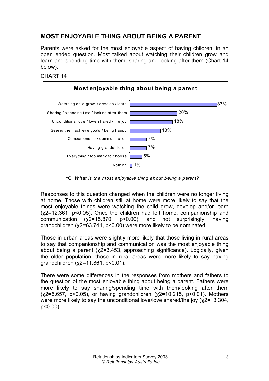## **MOST ENJOYABLE THING ABOUT BEING A PARENT**

Parents were asked for the most enjoyable aspect of having children, in an open ended question. Most talked about watching their children grow and learn and spending time with them, sharing and looking after them (Chart 14 below).





Responses to this question changed when the children were no longer living at home. Those with children still at home were more likely to say that the most enjoyable things were watching the child grow, develop and/or learn (χ2=12.361, p<0.05). Once the children had left home, companionship and communication (χ2=15.870, p<0.00), and not surprisingly, having grandchildren (χ2=63.741, p<0.00) were more likely to be nominated.

Those in urban areas were slightly more likely that those living in rural areas to say that companionship and communication was the most enjoyable thing about being a parent (χ2=3.453, approaching significance). Logically, given the older population, those in rural areas were more likely to say having grandchildren (χ2=11.861, p<0.01).

There were some differences in the responses from mothers and fathers to the question of the most enjoyable thing about being a parent. Fathers were more likely to say sharing/spending time with them/looking after them (χ2=5.657, p<0.05), or having grandchildren (χ2=10.215, p<0.01). Mothers were more likely to say the unconditional love/love shared/the joy (χ2=13.304, p<0.00).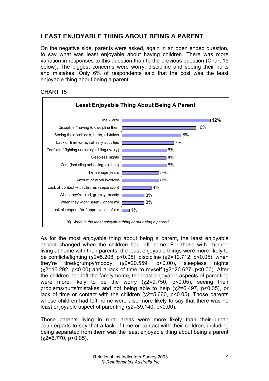## **LEAST ENJOYABLE THING ABOUT BEING A PARENT**

On the negative side, parents were asked, again in an open ended question, to say what was least enjoyable about having children. There was more variation in responses to this question than to the previous question (Chart 15 below). The biggest concerns were worry, discipline and seeing their hurts and mistakes. Only 6% of respondents said that the cost was the least enjoyable thing about being a parent.





As for the most enjoyable thing about being a parent, the least enjoyable aspect changed when the children had left home. For those with children living at home with their parents, the least enjoyable things were more likely to be conflicts/fighting (χ2=5.208, p<0.05), discipline (χ2=19.712, p<0.05), when they're tired/grumpy/moody (χ2=20.559, p<0.00), sleepless nights  $(x2=16.292, p<0.00)$  and a lack of time to myself  $(x2=20.627, p<0.00)$ . After the children had left the family home, the least enjoyable aspects of parenting were more likely to be the worry (χ2=9.750, p<0.05), seeing their problems/hurts/mistakes and not being able to help (χ2=6.497, p<0.05), or lack of time or contact with the children (χ2=5.660, p<0.05). Those parents whose children had left home were also more likely to say that there was no least enjoyable aspect of parenting (χ2=39.140, p<0.00).

Those parents living in rural areas were more likely than their urban counterparts to say that a lack of time or contact with their children, including being separated from them was the least enjoyable thing about being a parent  $(x2=6.770, p<0.05)$ .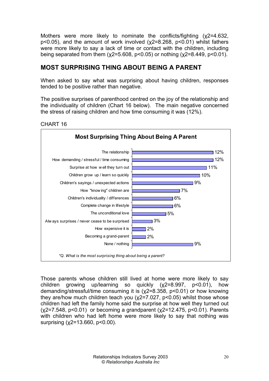Mothers were more likely to nominate the conflicts/fighting (χ2=4.632, p<0.05), and the amount of work involved (χ2=8.268, p<0.01) whilst fathers were more likely to say a lack of time or contact with the children, including being separated from them (χ2=5.608, p<0.05) or nothing (χ2=8.449, p<0.01).

#### **MOST SURPRISING THING ABOUT BEING A PARENT**

When asked to say what was surprising about having children, responses tended to be positive rather than negative.

The positive surprises of parenthood centred on the joy of the relationship and the individuality of children (Chart 16 below). The main negative concerned the stress of raising children and how time consuming it was (12%).



CHART 16

Those parents whose children still lived at home were more likely to say children growing up/learning so quickly (χ2=8.997, p<0.01), how demanding/stressful/time consuming it is (χ2=8.358, p<0.01) or how knowing they are/how much children teach you  $(\chi^2=7.027, p<0.05)$  whilst those whose children had left the family home said the surprise at how well they turned out  $(x2=7.548, p<0.01)$  or becoming a grandparent  $(x2=12.475, p<0.01)$ . Parents with children who had left home were more likely to say that nothing was surprising (χ2=13.660, p<0.00).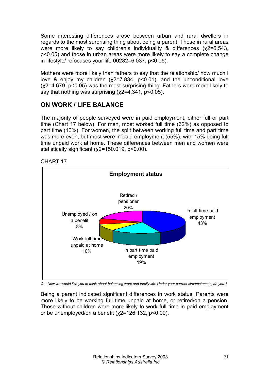Some interesting differences arose between urban and rural dwellers in regards to the most surprising thing about being a parent. Those in rural areas were more likely to say children's individuality & differences (χ2=6.543, p<0.05) and those in urban areas were more likely to say a complete change in lifestyle/ refocuses your life 00282=6.037, p<0.05).

Mothers were more likely than fathers to say that the relationship/ how much I love & enjoy my children  $(x2=7.834, p<0.01)$ , and the unconditional love (χ2=4.679, p<0.05) was the most surprising thing. Fathers were more likely to say that nothing was surprising (x2=4.341, p<0.05).

### **ON WORK / LIFE BALANCE**

The majority of people surveyed were in paid employment, either full or part time (Chart 17 below). For men, most worked full time (62%) as opposed to part time (10%). For women, the split between working full time and part time was more even, but most were in paid employment (55%), with 15% doing full time unpaid work at home. These differences between men and women were statistically significant (χ2=150.019, p<0.00).





*Q – Now we would like you to think about balancing work and family life. Under your current circumstances, do you:?* 

Being a parent indicated significant differences in work status. Parents were more likely to be working full time unpaid at home, or retired/on a pension. Those without children were more likely to work full time in paid employment or be unemployed/on a benefit (χ2=126.132, p<0.00).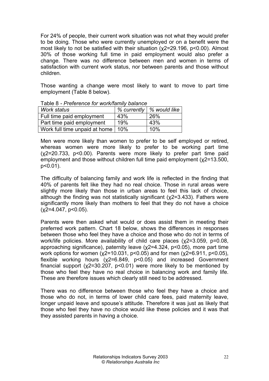For 24% of people, their current work situation was not what they would prefer to be doing. Those who were currently unemployed or on a benefit were the most likely to not be satisfied with their situation (χ2=29.196, p<0.00). Almost 30% of those working full time in paid employment would also prefer a change. There was no difference between men and women in terms of satisfaction with current work status, nor between parents and those without children.

Those wanting a change were most likely to want to move to part time employment (Table 8 below).

| Work status                   |     | % currently   % would like |  |
|-------------------------------|-----|----------------------------|--|
| Full time paid employment     | 43% | 26%                        |  |
| Part time paid employment     | 19% | 43%                        |  |
| Work full time unpaid at home | 10% | 10%                        |  |

Table 8 *- Preference for work/family balance* 

Men were more likely than women to prefer to be self employed or retired, whereas women were more likely to prefer to be working part time (χ2=20.733, p<0.00). Parents were more likely to prefer part time paid employment and those without children full time paid employment (χ2=13.500, p<0.01).

The difficulty of balancing family and work life is reflected in the finding that 40% of parents felt like they had no real choice. Those in rural areas were slightly more likely than those in urban areas to feel this lack of choice, although the finding was not statistically significant ( $x2=3.433$ ). Fathers were significantly more likely than mothers to feel that they do not have a choice  $(x2=4.047, p<0.05)$ .

Parents were then asked what would or does assist them in meeting their preferred work pattern. Chart 18 below, shows the differences in responses between those who feel they have a choice and those who do not in terms of work/life policies. More availability of child care places (x2=3.059, p=0.08, approaching significance), paternity leave (χ2=4.324, p<0.05), more part time work options for women (χ2=10.031, p<0.05) and for men (χ2=6.911, p<0.05), flexible working hours (χ2=6.849, p<0.05) and increased Government financial support ( $x^2$ =30.207,  $p$ <0.01) were more likely to be mentioned by those who feel they have no real choice in balancing work and family life. These are therefore issues which clearly still need to be addressed.

There was no difference between those who feel they have a choice and those who do not, in terms of lower child care fees, paid maternity leave, longer unpaid leave and spouse's attitude. Therefore it was just as likely that those who feel they have no choice would like these policies and it was that they assisted parents in having a choice.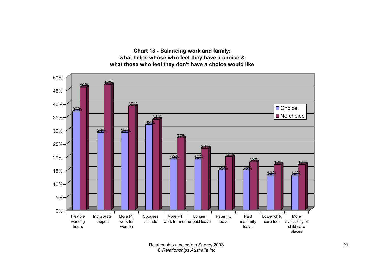**Chart 18 - Balancing work and family: what helps whose who feel they have a choice & what those who feel they don't have a choice would like**

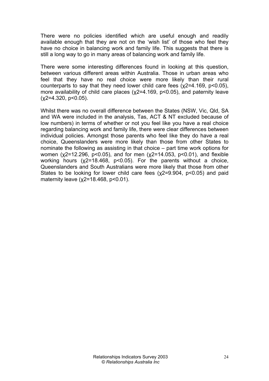There were no policies identified which are useful enough and readily available enough that they are not on the 'wish list' of those who feel they have no choice in balancing work and family life. This suggests that there is still a long way to go in many areas of balancing work and family life.

There were some interesting differences found in looking at this question, between various different areas within Australia. Those in urban areas who feel that they have no real choice were more likely than their rural counterparts to say that they need lower child care fees (χ2=4.169, p<0.05), more availability of child care places (x2=4.169, p<0.05), and paternity leave  $(x2=4.320, p<0.05)$ .

Whilst there was no overall difference between the States (NSW, Vic, Qld, SA and WA were included in the analysis, Tas, ACT & NT excluded because of low numbers) in terms of whether or not you feel like you have a real choice regarding balancing work and family life, there were clear differences between individual policies. Amongst those parents who feel like they do have a real choice, Queenslanders were more likely than those from other States to nominate the following as assisting in that choice – part time work options for women (χ2=12.296, p<0.05), and for men (χ2=14.053, p<0.01), and flexible working hours (χ2=18.468, p<0.05). For the parents without a choice, Queenslanders and South Australians were more likely that those from other States to be looking for lower child care fees ( $x2=9.904$ ,  $p<0.05$ ) and paid maternity leave (x2=18.468, p<0.01).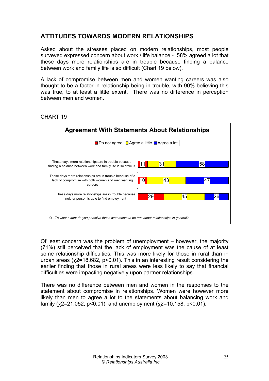### **ATTITUDES TOWARDS MODERN RELATIONSHIPS**

Asked about the stresses placed on modern relationships, most people surveyed expressed concern about work / life balance - 58% agreed a lot that these days more relationships are in trouble because finding a balance between work and family life is so difficult (Chart 19 below).

A lack of compromise between men and women wanting careers was also thought to be a factor in relationship being in trouble, with 90% believing this was true, to at least a little extent. There was no difference in perception between men and women.



#### CHART 19

Of least concern was the problem of unemployment – however, the majority (71%) still perceived that the lack of employment was the cause of at least some relationship difficulties. This was more likely for those in rural than in urban areas (χ2=18.682, p<0.01). This in an interesting result considering the earlier finding that those in rural areas were less likely to say that financial difficulties were impacting negatively upon partner relationships.

There was no difference between men and women in the responses to the statement about compromise in relationships. Women were however more likely than men to agree a lot to the statements about balancing work and family ( $\chi$ 2=21.052,  $p$ <0.01), and unemployment ( $\chi$ 2=10.158,  $p$ <0.01).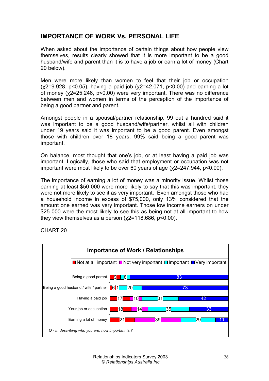#### **IMPORTANCE OF WORK Vs. PERSONAL LIFE**

When asked about the importance of certain things about how people view themselves, results clearly showed that it is more important to be a good husband/wife and parent than it is to have a job or earn a lot of money (Chart 20 below).

Men were more likely than women to feel that their job or occupation  $(x2=9.928, p<0.05)$ , having a paid job  $(x2=42.071, p<0.00)$  and earning a lot of money (χ2=25.246, p<0.00) were very important. There was no difference between men and women in terms of the perception of the importance of being a good partner and parent.

Amongst people in a spousal/partner relationship, 99 out a hundred said it was important to be a good husband/wife/partner, whilst all with children under 19 years said it was important to be a good parent. Even amongst those with children over 18 years, 99% said being a good parent was important.

On balance, most thought that one's job, or at least having a paid job was important. Logically, those who said that employment or occupation was not important were most likely to be over 60 years of age (χ2=247.944, p<0.00).

The importance of earning a lot of money was a minority issue. Whilst those earning at least \$50 000 were more likely to say that this was important, they were not more likely to see it as very important. Even amongst those who had a household income in excess of \$75,000, only 13% considered that the amount one earned was very important. Those low income earners on under \$25,000 were the most likely to see this as being not at all important to how they view themselves as a person  $(\chi2=118.686, p<0.00)$ .



CHART 20